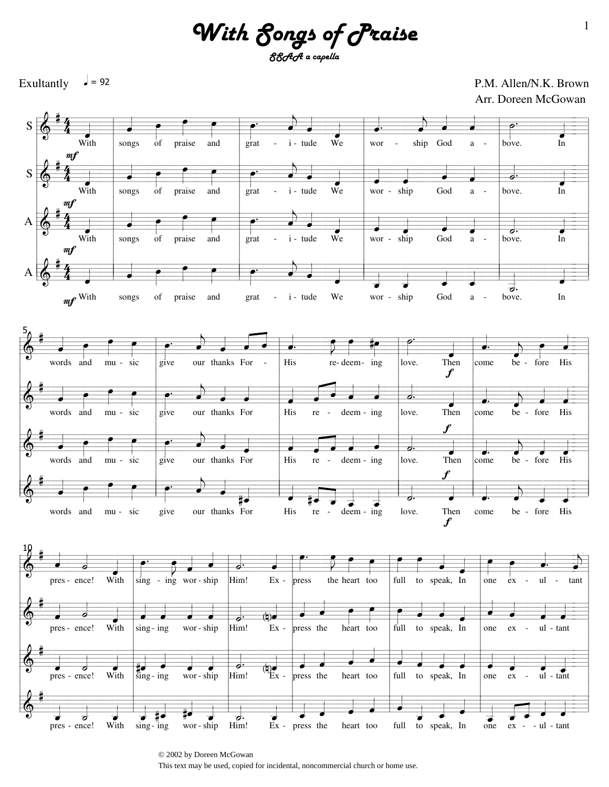*With Songs of Praise SSAA a capella*

 $\sqrt{ }$  = 92





© 2002 by Doreen McGowan This text may be used, copied for incidental, noncommercial church or home use.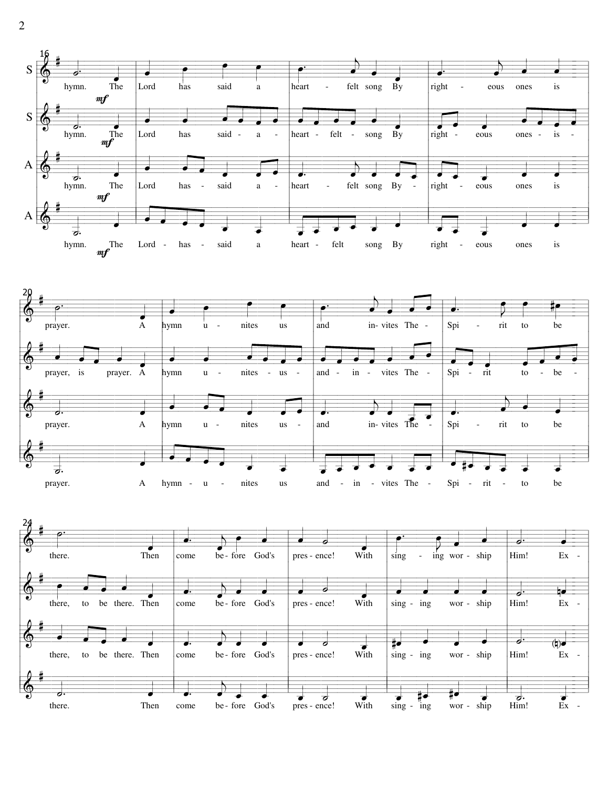



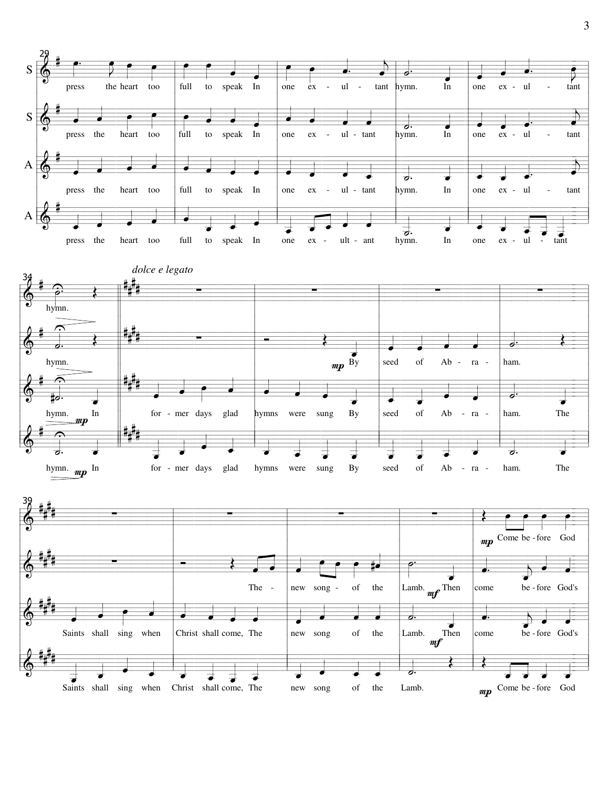

 $mp$  Come be - fore God